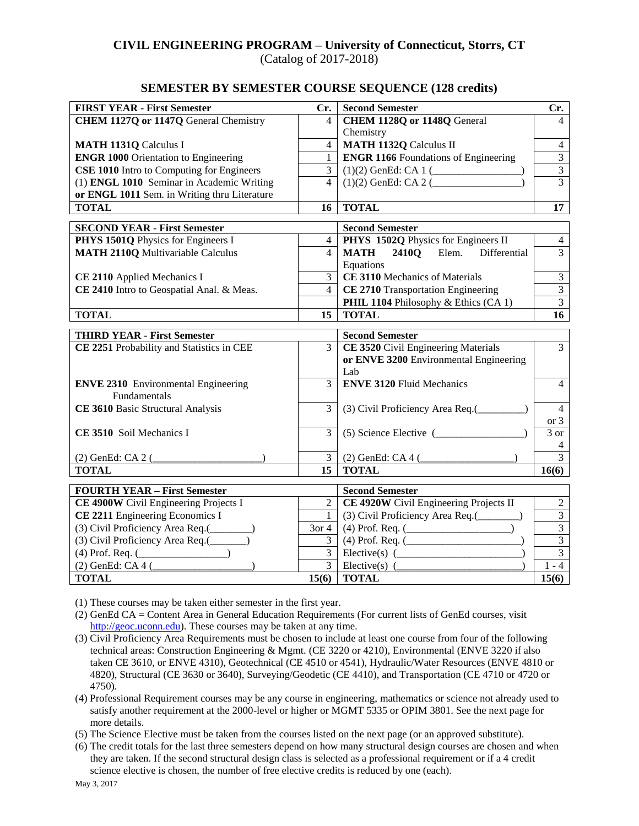# **CIVIL ENGINEERING PROGRAM – University of Connecticut, Storrs, CT**

(Catalog of 2017-2018)

#### **SEMESTER BY SEMESTER COURSE SEQUENCE (128 credits)**

| <b>FIRST YEAR - First Semester</b>           | Cr.              | <b>Second Semester</b>                                                               | Cr.               |
|----------------------------------------------|------------------|--------------------------------------------------------------------------------------|-------------------|
| CHEM 1127Q or 1147Q General Chemistry        | $\overline{4}$   | CHEM 1128Q or 1148Q General                                                          | 4                 |
|                                              |                  | Chemistry                                                                            |                   |
| <b>MATH 1131Q Calculus I</b>                 | $\overline{4}$   | <b>MATH 1132Q Calculus II</b>                                                        | $\overline{4}$    |
| <b>ENGR 1000 Orientation to Engineering</b>  | $\mathbf{1}$     | <b>ENGR 1166</b> Foundations of Engineering                                          | $\overline{3}$    |
| CSE 1010 Intro to Computing for Engineers    | $\overline{3}$   |                                                                                      | $\overline{3}$    |
| (1) ENGL 1010 Seminar in Academic Writing    | $\overline{4}$   |                                                                                      | $\overline{3}$    |
| or ENGL 1011 Sem. in Writing thru Literature |                  |                                                                                      |                   |
| <b>TOTAL</b>                                 | 16               | <b>TOTAL</b>                                                                         | 17                |
| <b>SECOND YEAR - First Semester</b>          |                  | <b>Second Semester</b>                                                               |                   |
| PHYS 1501Q Physics for Engineers I           | $\overline{4}$   | PHYS 1502Q Physics for Engineers II                                                  | $\overline{4}$    |
| <b>MATH 2110Q Multivariable Calculus</b>     | $\overline{4}$   | MATH 2410Q Elem. Differential                                                        | $\overline{3}$    |
|                                              |                  | Equations                                                                            |                   |
| CE 2110 Applied Mechanics I                  | $\mathfrak{Z}$   | CE 3110 Mechanics of Materials                                                       | $\mathfrak{Z}$    |
| CE 2410 Intro to Geospatial Anal. & Meas.    | $\overline{4}$   | CE 2710 Transportation Engineering                                                   | $\overline{3}$    |
|                                              |                  | PHIL 1104 Philosophy & Ethics (CA 1)                                                 | $\overline{3}$    |
| <b>TOTAL</b>                                 | 15               | <b>TOTAL</b>                                                                         | 16                |
|                                              |                  |                                                                                      |                   |
| <b>THIRD YEAR - First Semester</b>           | 3                | <b>Second Semester</b>                                                               | $\overline{3}$    |
| CE 2251 Probability and Statistics in CEE    |                  | <b>CE 3520</b> Civil Engineering Materials<br>or ENVE 3200 Environmental Engineering |                   |
|                                              |                  | Lab                                                                                  |                   |
| <b>ENVE 2310</b> Environmental Engineering   | $\overline{3}$   | <b>ENVE 3120 Fluid Mechanics</b>                                                     | $\overline{4}$    |
| Fundamentals                                 |                  |                                                                                      |                   |
| CE 3610 Basic Structural Analysis            | $\overline{3}$   | (3) Civil Proficiency Area Req.(_________)                                           | $\overline{4}$    |
|                                              |                  |                                                                                      | or $3$            |
| CE 3510 Soil Mechanics I                     | $\overline{3}$   | $(5)$ Science Elective $($                                                           | $\overline{3}$ or |
|                                              |                  |                                                                                      | 4                 |
| $(2)$ GenEd: CA 2 (                          |                  | $\overline{3}$ (2) GenEd: CA 4 (                                                     | $\overline{3}$    |
| <b>TOTAL</b>                                 | 15 <sup>15</sup> | <b>TOTAL</b>                                                                         | 16(6)             |
| <b>FOURTH YEAR - First Semester</b>          |                  | <b>Second Semester</b>                                                               |                   |
| CE 4900W Civil Engineering Projects I        | $\mathbf{2}$     | CE 4920W Civil Engineering Projects II                                               | $\sqrt{2}$        |
| CE 2211 Engineering Economics I              | $\mathbf{1}$     | (3) Civil Proficiency Area Req.(________)                                            | $\overline{3}$    |
| (3) Civil Proficiency Area Req.(________)    | $3$ or 4         |                                                                                      | $\overline{3}$    |
| (3) Civil Proficiency Area Req.(______)      | $\mathfrak{Z}$   | $(4)$ Prof. Req. $($                                                                 | $\overline{3}$    |
| $(4)$ Prof. Req. $($                         | $\overline{3}$   | $Electric(s)$ ( $\qquad \qquad$                                                      | $\overline{3}$    |
| $(2)$ GenEd: CA 4 $($                        |                  |                                                                                      | $1 - 4$           |
| <b>TOTAL</b>                                 | 15(6)            | <b>TOTAL</b>                                                                         | 15(6)             |
|                                              |                  |                                                                                      |                   |

(1) These courses may be taken either semester in the first year.

- (2) GenEd CA = Content Area in General Education Requirements (For current lists of GenEd courses, visit [http://geoc.uconn.edu\)](http://geoc.uconn.edu/). These courses may be taken at any time.
- (3) Civil Proficiency Area Requirements must be chosen to include at least one course from four of the following technical areas: Construction Engineering & Mgmt. (CE 3220 or 4210), Environmental (ENVE 3220 if also taken CE 3610, or ENVE 4310), Geotechnical (CE 4510 or 4541), Hydraulic/Water Resources (ENVE 4810 or 4820), Structural (CE 3630 or 3640), Surveying/Geodetic (CE 4410), and Transportation (CE 4710 or 4720 or 4750).
- (4) Professional Requirement courses may be any course in engineering, mathematics or science not already used to satisfy another requirement at the 2000-level or higher or MGMT 5335 or OPIM 3801. See the next page for more details.
- (5) The Science Elective must be taken from the courses listed on the next page (or an approved substitute).

(6) The credit totals for the last three semesters depend on how many structural design courses are chosen and when they are taken. If the second structural design class is selected as a professional requirement or if a 4 credit science elective is chosen, the number of free elective credits is reduced by one (each).